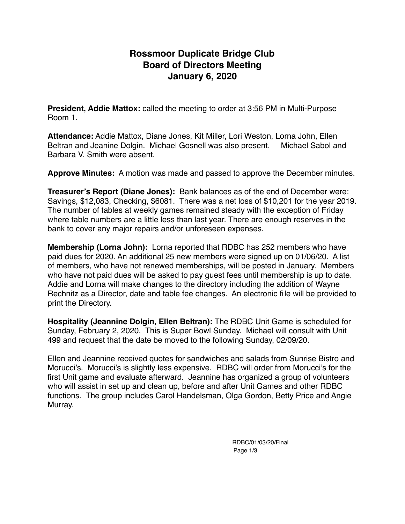## **Rossmoor Duplicate Bridge Club Board of Directors Meeting January 6, 2020**

**President, Addie Mattox:** called the meeting to order at 3:56 PM in Multi-Purpose Room 1.

**Attendance:** Addie Mattox, Diane Jones, Kit Miller, Lori Weston, Lorna John, Ellen Beltran and Jeanine Dolgin. Michael Gosnell was also present. Michael Sabol and Barbara V. Smith were absent.

**Approve Minutes:** A motion was made and passed to approve the December minutes.

**Treasurer's Report (Diane Jones):** Bank balances as of the end of December were: Savings, \$12,083, Checking, \$6081. There was a net loss of \$10,201 for the year 2019. The number of tables at weekly games remained steady with the exception of Friday where table numbers are a little less than last year. There are enough reserves in the bank to cover any major repairs and/or unforeseen expenses.

**Membership (Lorna John):** Lorna reported that RDBC has 252 members who have paid dues for 2020. An additional 25 new members were signed up on 01/06/20. A list of members, who have not renewed memberships, will be posted in January. Members who have not paid dues will be asked to pay guest fees until membership is up to date. Addie and Lorna will make changes to the directory including the addition of Wayne Rechnitz as a Director, date and table fee changes. An electronic file will be provided to print the Directory.

**Hospitality (Jeannine Dolgin, Ellen Beltran):** The RDBC Unit Game is scheduled for Sunday, February 2, 2020. This is Super Bowl Sunday. Michael will consult with Unit 499 and request that the date be moved to the following Sunday, 02/09/20.

Ellen and Jeannine received quotes for sandwiches and salads from Sunrise Bistro and Morucci's. Morucci's is slightly less expensive. RDBC will order from Morucci's for the first Unit game and evaluate afterward. Jeannine has organized a group of volunteers who will assist in set up and clean up, before and after Unit Games and other RDBC functions. The group includes Carol Handelsman, Olga Gordon, Betty Price and Angie Murray.

> RDBC/01/03/20/Final Page 1/3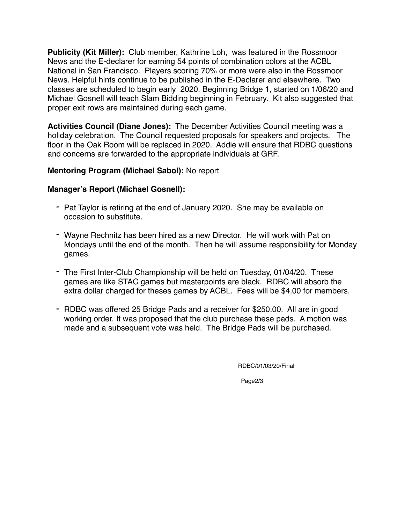**Publicity (Kit Miller):** Club member, Kathrine Loh, was featured in the Rossmoor News and the E-declarer for earning 54 points of combination colors at the ACBL National in San Francisco. Players scoring 70% or more were also in the Rossmoor News. Helpful hints continue to be published in the E-Declarer and elsewhere. Two classes are scheduled to begin early 2020. Beginning Bridge 1, started on 1/06/20 and Michael Gosnell will teach Slam Bidding beginning in February. Kit also suggested that proper exit rows are maintained during each game.

**Activities Council (Diane Jones):** The December Activities Council meeting was a holiday celebration. The Council requested proposals for speakers and projects. The floor in the Oak Room will be replaced in 2020. Addie will ensure that RDBC questions and concerns are forwarded to the appropriate individuals at GRF.

### **Mentoring Program (Michael Sabol):** No report

#### **Manager's Report (Michael Gosnell):**

- *-* Pat Taylor is retiring at the end of January 2020. She may be available on occasion to substitute.
- *-* Wayne Rechnitz has been hired as a new Director. He will work with Pat on Mondays until the end of the month. Then he will assume responsibility for Monday games.
- *-* The First Inter-Club Championship will be held on Tuesday, 01/04/20. These games are like STAC games but masterpoints are black. RDBC will absorb the extra dollar charged for theses games by ACBL. Fees will be \$4.00 for members.
- *-* RDBC was offered 25 Bridge Pads and a receiver for \$250.00. All are in good working order. It was proposed that the club purchase these pads. A motion was made and a subsequent vote was held. The Bridge Pads will be purchased.

RDBC/01/03/20/Final

Page2/3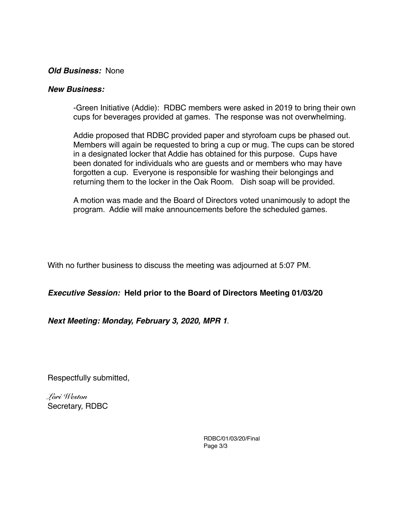#### *Old Business:* None

#### *New Business:*

-Green Initiative (Addie): RDBC members were asked in 2019 to bring their own cups for beverages provided at games. The response was not overwhelming.

Addie proposed that RDBC provided paper and styrofoam cups be phased out. Members will again be requested to bring a cup or mug. The cups can be stored in a designated locker that Addie has obtained for this purpose. Cups have been donated for individuals who are guests and or members who may have forgotten a cup. Everyone is responsible for washing their belongings and returning them to the locker in the Oak Room. Dish soap will be provided.

A motion was made and the Board of Directors voted unanimously to adopt the program. Addie will make announcements before the scheduled games.

With no further business to discuss the meeting was adjourned at 5:07 PM.

*Executive Session:* **Held prior to the Board of Directors Meeting 01/03/20**

*Next Meeting: Monday, February 3, 2020, MPR 1*.

Respectfully submitted,

*Lori Weston*  Secretary, RDBC

> RDBC/01/03/20/Final Page 3/3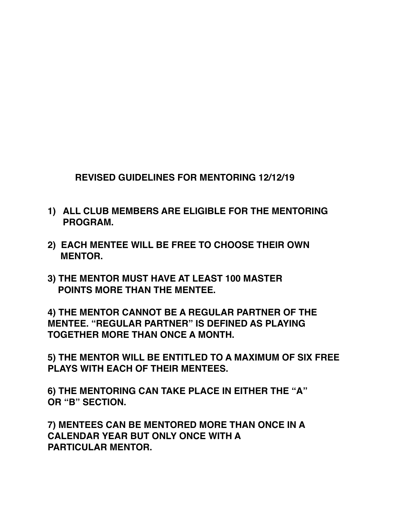**REVISED GUIDELINES FOR MENTORING 12/12/19**

- **1) ALL CLUB MEMBERS ARE ELIGIBLE FOR THE MENTORING PROGRAM.**
- **2) EACH MENTEE WILL BE FREE TO CHOOSE THEIR OWN MENTOR.**
- **3) THE MENTOR MUST HAVE AT LEAST 100 MASTER POINTS MORE THAN THE MENTEE.**

**4) THE MENTOR CANNOT BE A REGULAR PARTNER OF THE MENTEE. "REGULAR PARTNER" IS DEFINED AS PLAYING TOGETHER MORE THAN ONCE A MONTH.**

**5) THE MENTOR WILL BE ENTITLED TO A MAXIMUM OF SIX FREE PLAYS WITH EACH OF THEIR MENTEES.**

**6) THE MENTORING CAN TAKE PLACE IN EITHER THE "A" OR "B" SECTION.**

**7) MENTEES CAN BE MENTORED MORE THAN ONCE IN A CALENDAR YEAR BUT ONLY ONCE WITH A PARTICULAR MENTOR.**